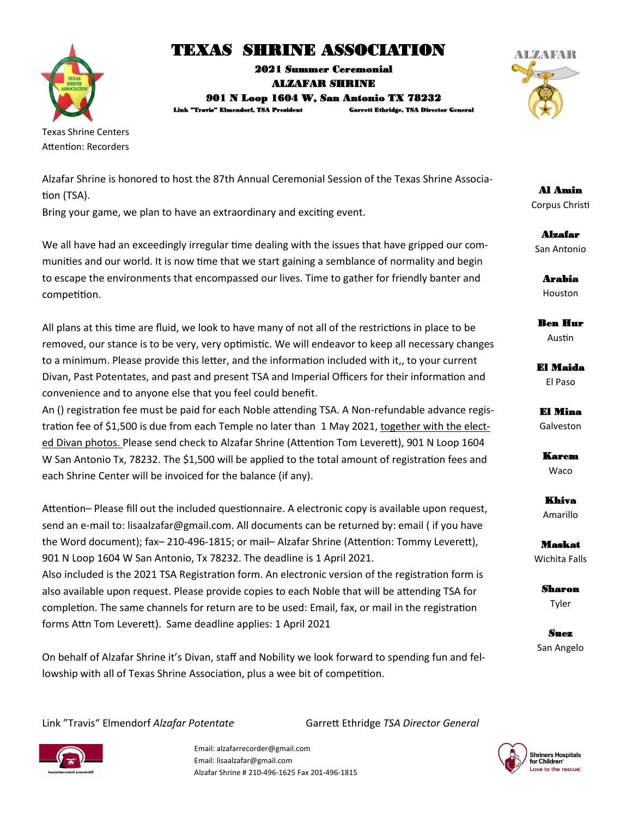

# TEXAS SHRINE ASSOCIATION

2021 Summer Ceremonial ALZAFAR SHRINE 901 N Loop 1604 W, San Antonio TX 78232 Link "Travis" Elmendorf, TSA President Garrett Ethridge, TSA Director General



Texas Shrine Centers Attention: Recorders

Alzafar Shrine is honored to host the 87th Annual Ceremonial Session of the Texas Shrine Association (TSA).

Bring your game, we plan to have an extraordinary and exciting event.

We all have had an exceedingly irregular time dealing with the issues that have gripped our communities and our world. It is now time that we start gaining a semblance of normality and begin to escape the environments that encompassed our lives. Time to gather for friendly banter and competition.

All plans at this time are fluid, we look to have many of not all of the restrictions in place to be removed, our stance is to be very, very optimistic. We will endeavor to keep all necessary changes to a minimum. Please provide this letter, and the information included with it,, to your current Divan, Past Potentates, and past and present TSA and Imperial Officers for their information and convenience and to anyone else that you feel could benefit.

An () registration fee must be paid for each Noble attending TSA. A Non-refundable advance registration fee of \$1,500 is due from each Temple no later than 1 May 2021, together with the elected Divan photos. Please send check to Alzafar Shrine (Attention Tom Leverett), 901 N Loop 1604 W San Antonio Tx, 78232. The \$1,500 will be applied to the total amount of registration fees and each Shrine Center will be invoiced for the balance (if any).

Attention– Please fill out the included questionnaire. A electronic copy is available upon request, send an e-mail to: lisaalzafar@gmail.com. All documents can be returned by: email ( if you have the Word document); fax– 210-496-1815; or mail– Alzafar Shrine (Attention: Tommy Leverett), 901 N Loop 1604 W San Antonio, Tx 78232. The deadline is 1 April 2021. Also included is the 2021 TSA Registration form. An electronic version of the registration form is also available upon request. Please provide copies to each Noble that will be attending TSA for completion. The same channels for return are to be used: Email, fax, or mail in the registration

forms Attn Tom Leverett). Same deadline applies: 1 April 2021

On behalf of Alzafar Shrine it's Divan, staff and Nobility we look forward to spending fun and fellowship with all of Texas Shrine Association, plus a wee bit of competition.

Link "Travis" Elmendorf *Alzafar Potentate* Garrett Ethridge *TSA Director General*



Email: alzafarrecorder@gmail.com Email: lisaalzafar@gmail.com Alzafar Shrine # 210-496-1625 Fax 201-496-1815



Al Amin Corpus Christi

Alzafar San Antonio

> Arabia Houston

Ben Hur Austin

El Maida El Paso

El Mina Galveston

Karem Waco

Khiva Amarillo

Maskat Wichita Falls

> Sharon Tyler

Suez San Angelo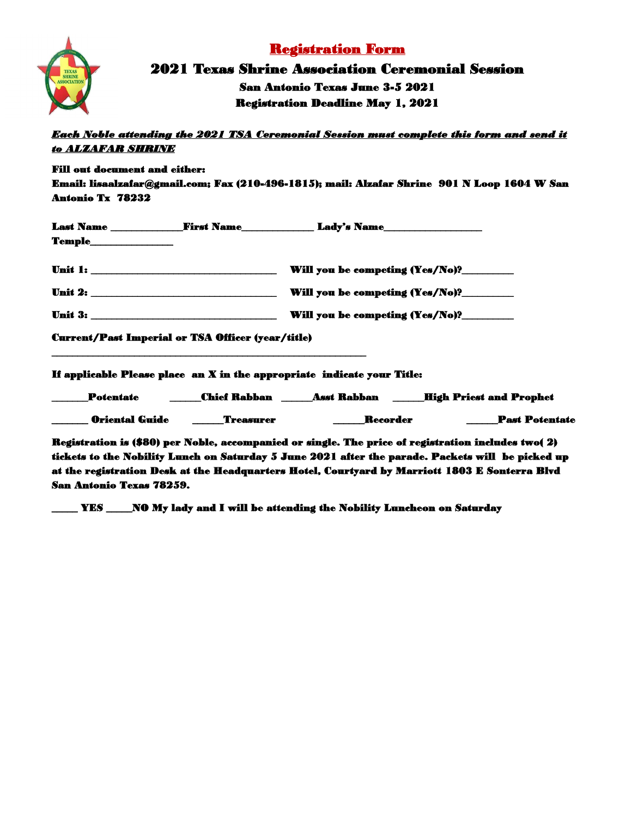

## Registration Form

2021 Texas Shrine Association Ceremonial Session San Antonio Texas June 3-5 2021 Registration Deadline May 1, 2021

*Each Noble attending the 2021 TSA Ceremonial Session must complete this form and send it to ALZAFAR SHRINE* 

Fill out document and either: Email: lisaalzafar@gmail.com; Fax (210-496-1815); mail: Alzafar Shrine 901 N Loop 1604 W San Antonio Tx 78232

|                                                          |  | Last Name _________________First Name___________________Lady's Name____________________ |  |  |
|----------------------------------------------------------|--|-----------------------------------------------------------------------------------------|--|--|
| $Temple$                                                 |  |                                                                                         |  |  |
|                                                          |  | Will you be competing (Yes/No)?_________                                                |  |  |
|                                                          |  | Will you be competing (Yes/No)?                                                         |  |  |
|                                                          |  | Will you be competing (Yes/No)?                                                         |  |  |
| <b>Current/Past Imperial or TSA Officer (year/title)</b> |  |                                                                                         |  |  |

If applicable Please place an X in the appropriate indicate your Title:

\_\_\_\_\_\_\_\_\_\_\_\_\_\_\_\_\_\_\_\_\_\_\_\_\_\_\_\_\_\_\_\_\_\_\_\_\_\_\_\_\_\_\_\_\_\_\_\_\_\_\_\_\_\_\_\_\_\_\_\_\_

| <b>Potentate</b>      | <b>Chief Rabban</b> | <b>Asst Rabban</b> |                 | <b>High Priest and Prophet</b> |
|-----------------------|---------------------|--------------------|-----------------|--------------------------------|
| <b>Oriental Guide</b> | <b>Treasurer</b>    |                    | <b>Recorder</b> | <b>Past Potentate</b>          |

Registration is (\$80) per Noble, accompanied or single. The price of registration includes two( 2) tickets to the Nobility Lunch on Saturday 5 June 2021 after the parade. Packets will be picked up at the registration Desk at the Headquarters Hotel, Courtyard by Marriott 1803 E Sonterra Blvd San Antonio Texas 78259.

\_\_\_\_\_ YES \_\_\_\_\_NO My lady and I will be attending the Nobility Luncheon on Saturday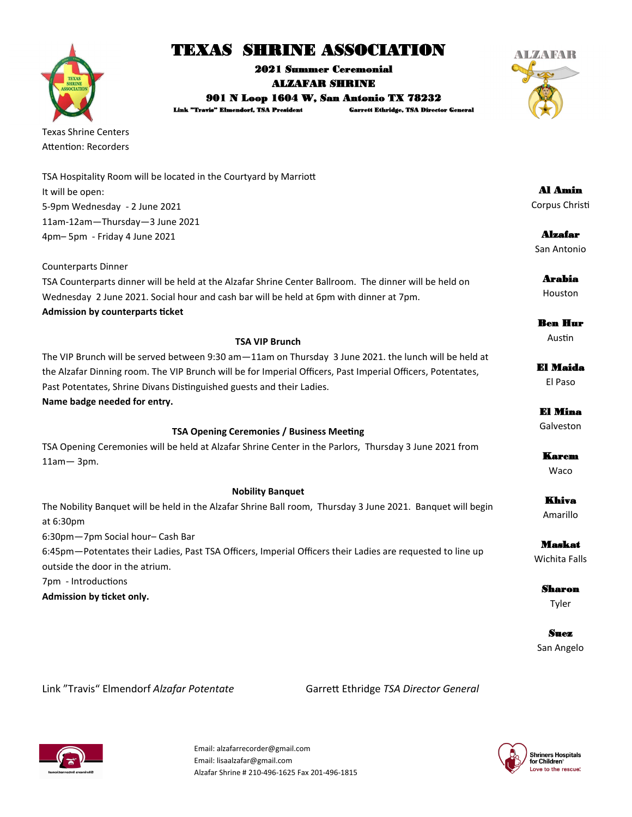# TEXAS SHRINE ASSOCIATION

2021 Summer Ceremonial ALZAFAR SHRINE 901 N Loop 1604 W, San Antonio TX 78232

Link "Travis" Elmendorf, TSA President Garrett Ethridge, TSA Director General

Texas Shrine Centers Attention: Recorders

| TSA Hospitality Room will be located in the Courtyard by Marriott |
|-------------------------------------------------------------------|
| It will be open:                                                  |
| 5-9pm Wednesday - 2 June 2021                                     |
| 11am-12am-Thursday-3 June 2021                                    |
| 4pm-5pm - Friday 4 June 2021                                      |

Counterparts Dinner TSA Counterparts dinner will be held at the Alzafar Shrine Center Ballroom. The dinner will be held on Wednesday 2 June 2021. Social hour and cash bar will be held at 6pm with dinner at 7pm. **Admission by counterparts ticket**

**TSA VIP Brunch**  The VIP Brunch will be served between 9:30 am—11am on Thursday 3 June 2021. the lunch will be held at the Alzafar Dinning room. The VIP Brunch will be for Imperial Officers, Past Imperial Officers, Potentates, Past Potentates, Shrine Divans Distinguished guests and their Ladies. **Name badge needed for entry.**

### **TSA Opening Ceremonies / Business Meeting**

TSA Opening Ceremonies will be held at Alzafar Shrine Center in the Parlors, Thursday 3 June 2021 from 11am— 3pm.

#### **Nobility Banquet**

The Nobility Banquet will be held in the Alzafar Shrine Ball room, Thursday 3 June 2021. Banquet will begin at 6:30pm

6:30pm—7pm Social hour– Cash Bar 6:45pm—Potentates their Ladies, Past TSA Officers, Imperial Officers their Ladies are requested to line up outside the door in the atrium.

7pm - Introductions

**Admission by ticket only.**

Link "Travis" Elmendorf *Alzafar Potentate* Garrett Ethridge *TSA Director General*



Email: alzafarrecorder@gmail.com Email: lisaalzafar@gmail.com Alzafar Shrine # 210-496-1625 Fax 201-496-1815



Al Amin Corpus Christi

Alzafar San Antonio

El Maida

El Paso El Mina

Galveston

Karem Waco

Khiva Amarillo

Maskat Wichita Falls

> Sharon Tyler

Suez San Angelo



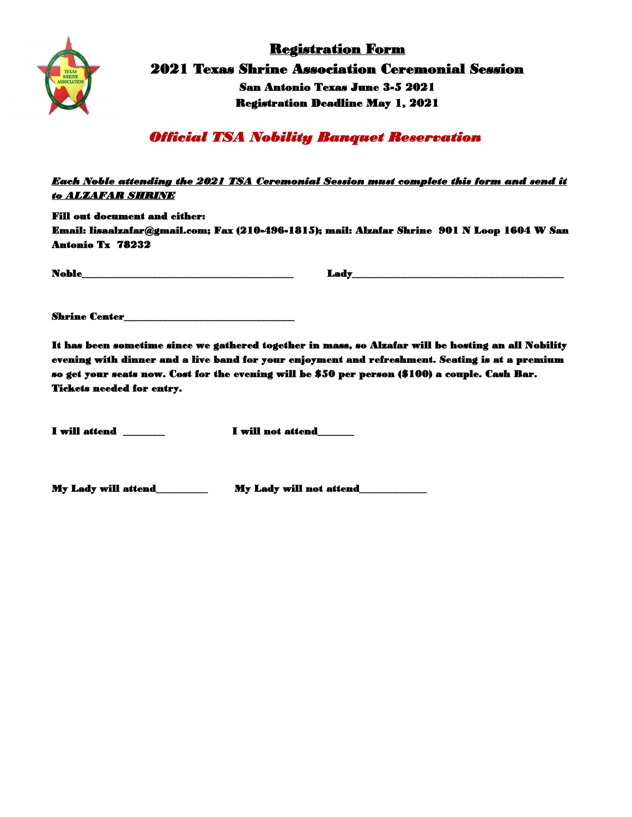

Registration Form 2021 Texas Shrine Association Ceremonial Session San Antonio Texas June 3-5 2021 Registration Deadline May 1, 2021

*Official TSA Nobility Banquet Reservation* 

### *Each Noble attending the 2021 TSA Ceremonial Session must complete this form and send it to ALZAFAR SHRINE*

Fill out document and either:

Email: lisaalzafar@gmail.com; Fax (210-496-1815); mail: Alzafar Shrine 901 N Loop 1604 W San Antonio Tx 78232

 $\bf{I} \bf{adv\_$   $\bf{L} \bf{adv\_}$ 

Shrine Center\_\_\_\_\_\_\_\_\_\_\_\_\_\_\_\_\_\_\_\_\_\_\_\_\_\_\_\_\_\_\_\_\_

It has been sometime since we gathered together in mass, so Alzafar will be hosting an all Nobility evening with dinner and a live band for your enjoyment and refreshment. Seating is at a premium so get your seats now. Cost for the evening will be \$50 per person (\$100) a couple. Cash Bar. Tickets needed for entry.

I will attend \_\_\_\_\_\_\_\_ I will not attend\_\_\_\_\_\_\_

My Lady will attend\_\_\_\_\_\_\_\_\_\_ My Lady will not attend\_\_\_\_\_\_\_\_\_\_\_\_\_